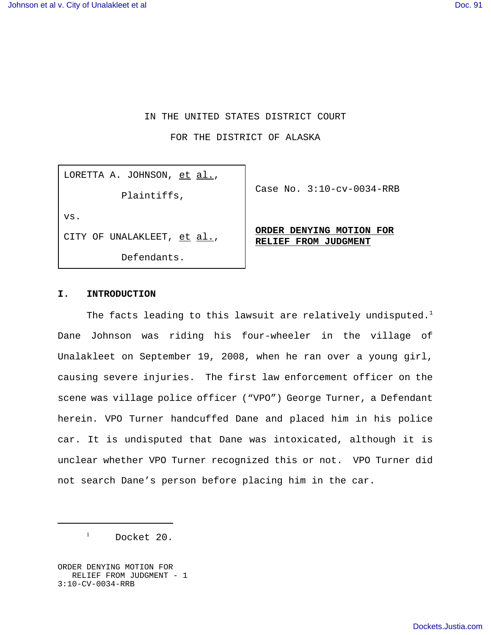# IN THE UNITED STATES DISTRICT COURT

FOR THE DISTRICT OF ALASKA

LORETTA A. JOHNSON, et al.,

Plaintiffs,

Case No. 3:10-cv-0034-RRB

vs.

CITY OF UNALAKLEET, et al.,

Defendants.

## **ORDER DENYING MOTION FOR RELIEF FROM JUDGMENT**

### **I. INTRODUCTION**

The facts leading to this lawsuit are relatively undisputed.<sup>1</sup> Dane Johnson was riding his four-wheeler in the village of Unalakleet on September 19, 2008, when he ran over a young girl, causing severe injuries. The first law enforcement officer on the scene was village police officer ("VPO") George Turner, a Defendant herein. VPO Turner handcuffed Dane and placed him in his police car. It is undisputed that Dane was intoxicated, although it is unclear whether VPO Turner recognized this or not. VPO Turner did not search Dane's person before placing him in the car.

 $1$  Docket 20.

ORDER DENYING MOTION FOR RELIEF FROM JUDGMENT - 1 3:10-CV-0034-RRB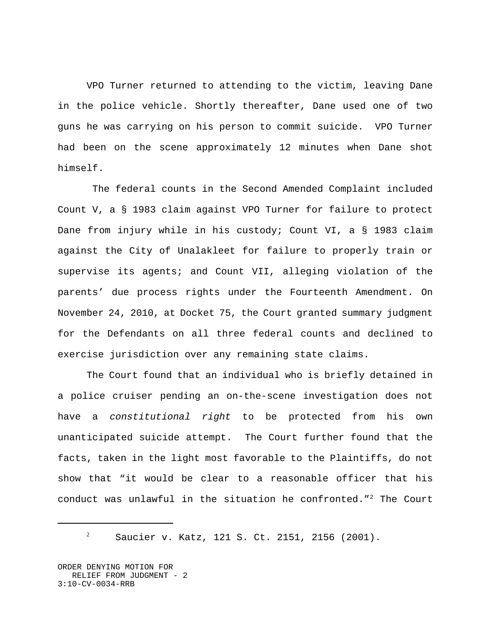VPO Turner returned to attending to the victim, leaving Dane in the police vehicle. Shortly thereafter, Dane used one of two guns he was carrying on his person to commit suicide. VPO Turner had been on the scene approximately 12 minutes when Dane shot himself.

 The federal counts in the Second Amended Complaint included Count V, a § 1983 claim against VPO Turner for failure to protect Dane from injury while in his custody; Count VI, a § 1983 claim against the City of Unalakleet for failure to properly train or supervise its agents; and Count VII, alleging violation of the parents' due process rights under the Fourteenth Amendment. On November 24, 2010, at Docket 75, the Court granted summary judgment for the Defendants on all three federal counts and declined to exercise jurisdiction over any remaining state claims.

The Court found that an individual who is briefly detained in a police cruiser pending an on-the-scene investigation does not have a *constitutional right* to be protected from his own unanticipated suicide attempt. The Court further found that the facts, taken in the light most favorable to the Plaintiffs, do not show that "it would be clear to a reasonable officer that his conduct was unlawful in the situation he confronted."2 The Court

<sup>2</sup> Saucier v. Katz, 121 S. Ct. 2151, 2156 (2001).

ORDER DENYING MOTION FOR RELIEF FROM JUDGMENT - 2 3:10-CV-0034-RRB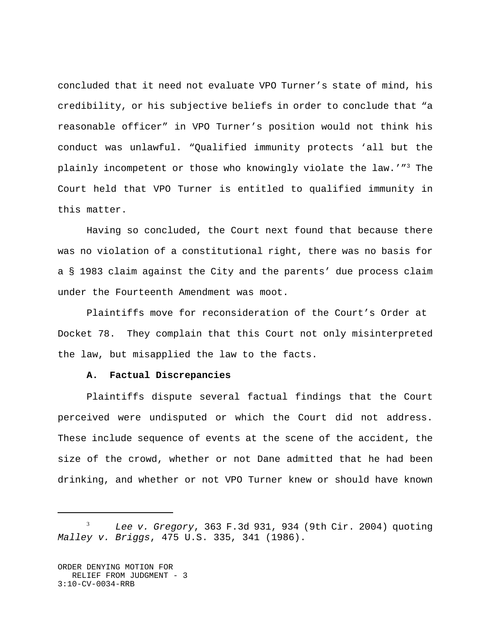concluded that it need not evaluate VPO Turner's state of mind, his credibility, or his subjective beliefs in order to conclude that "a reasonable officer" in VPO Turner's position would not think his conduct was unlawful. "Qualified immunity protects 'all but the plainly incompetent or those who knowingly violate the law.'"<sup>3</sup> The Court held that VPO Turner is entitled to qualified immunity in this matter.

Having so concluded, the Court next found that because there was no violation of a constitutional right, there was no basis for a § 1983 claim against the City and the parents' due process claim under the Fourteenth Amendment was moot.

Plaintiffs move for reconsideration of the Court's Order at Docket 78. They complain that this Court not only misinterpreted the law, but misapplied the law to the facts.

#### **A. Factual Discrepancies**

Plaintiffs dispute several factual findings that the Court perceived were undisputed or which the Court did not address. These include sequence of events at the scene of the accident, the size of the crowd, whether or not Dane admitted that he had been drinking, and whether or not VPO Turner knew or should have known

<sup>3</sup> *Lee v. Gregory*, 363 F.3d 931, 934 (9th Cir. 2004) quoting *Malley v. Briggs*, 475 U.S. 335, 341 (1986).

ORDER DENYING MOTION FOR RELIEF FROM JUDGMENT - 3 3:10-CV-0034-RRB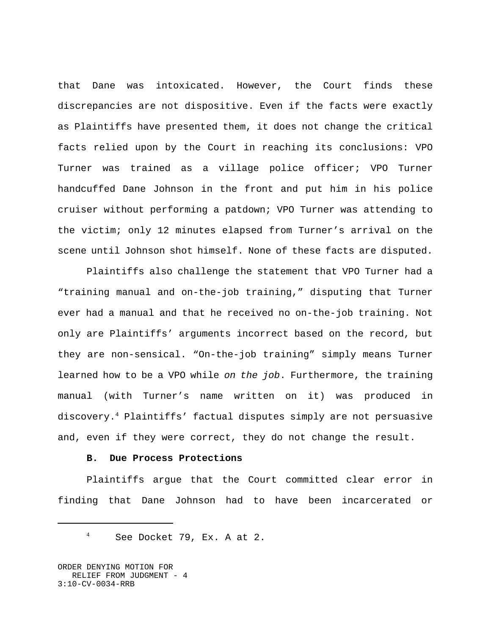that Dane was intoxicated. However, the Court finds these discrepancies are not dispositive. Even if the facts were exactly as Plaintiffs have presented them, it does not change the critical facts relied upon by the Court in reaching its conclusions: VPO Turner was trained as a village police officer; VPO Turner handcuffed Dane Johnson in the front and put him in his police cruiser without performing a patdown; VPO Turner was attending to the victim; only 12 minutes elapsed from Turner's arrival on the scene until Johnson shot himself. None of these facts are disputed.

Plaintiffs also challenge the statement that VPO Turner had a "training manual and on-the-job training," disputing that Turner ever had a manual and that he received no on-the-job training. Not only are Plaintiffs' arguments incorrect based on the record, but they are non-sensical. "On-the-job training" simply means Turner learned how to be a VPO while *on the job*. Furthermore, the training manual (with Turner's name written on it) was produced in discovery.4 Plaintiffs' factual disputes simply are not persuasive and, even if they were correct, they do not change the result.

# **B. Due Process Protections**

Plaintiffs argue that the Court committed clear error in finding that Dane Johnson had to have been incarcerated or

<sup>4</sup> See Docket 79, Ex. A at 2.

ORDER DENYING MOTION FOR RELIEF FROM JUDGMENT - 4 3:10-CV-0034-RRB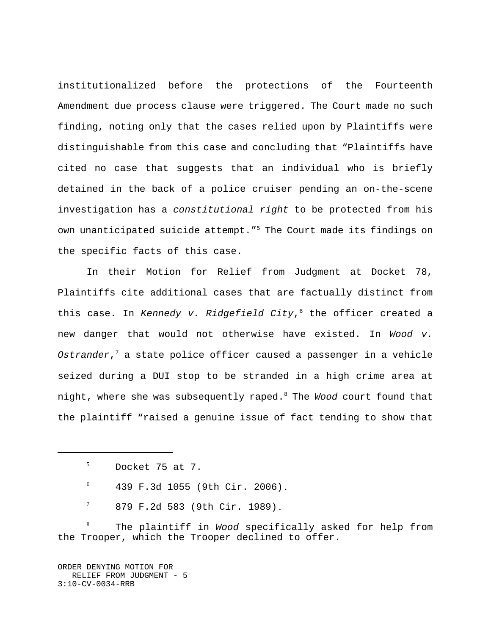institutionalized before the protections of the Fourteenth Amendment due process clause were triggered. The Court made no such finding, noting only that the cases relied upon by Plaintiffs were distinguishable from this case and concluding that "Plaintiffs have cited no case that suggests that an individual who is briefly detained in the back of a police cruiser pending an on-the-scene investigation has a *constitutional right* to be protected from his own unanticipated suicide attempt."<sup>5</sup> The Court made its findings on the specific facts of this case.

In their Motion for Relief from Judgment at Docket 78, Plaintiffs cite additional cases that are factually distinct from this case. In *Kennedy v. Ridgefield City*,<sup>6</sup> the officer created a new danger that would not otherwise have existed. In *Wood v. Ostrander*,7 a state police officer caused a passenger in a vehicle seized during a DUI stop to be stranded in a high crime area at night, where she was subsequently raped.8 The *Wood* court found that the plaintiff "raised a genuine issue of fact tending to show that

- $6$  439 F.3d 1055 (9th Cir. 2006).
- $7$  879 F.2d 583 (9th Cir. 1989).

<sup>8</sup> The plaintiff in *Wood* specifically asked for help from the Trooper, which the Trooper declined to offer.

ORDER DENYING MOTION FOR RELIEF FROM JUDGMENT - 5 3:10-CV-0034-RRB

 $5$  Docket 75 at 7.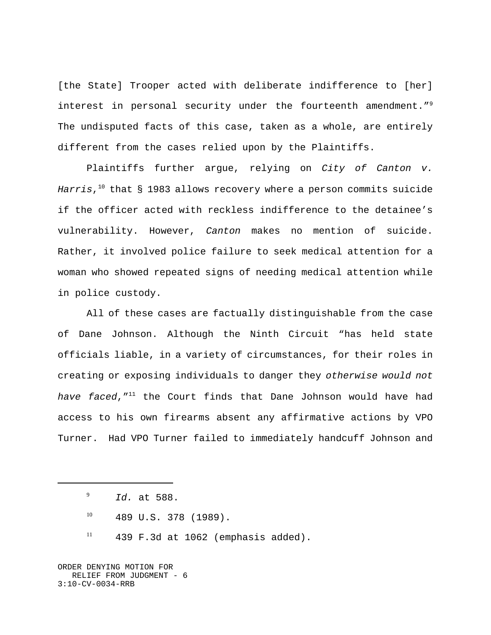[the State] Trooper acted with deliberate indifference to [her] interest in personal security under the fourteenth amendment."<sup>9</sup> The undisputed facts of this case, taken as a whole, are entirely different from the cases relied upon by the Plaintiffs.

Plaintiffs further argue, relying on *City of Canton v.* Harris,<sup>10</sup> that § 1983 allows recovery where a person commits suicide if the officer acted with reckless indifference to the detainee's vulnerability. However, *Canton* makes no mention of suicide. Rather, it involved police failure to seek medical attention for a woman who showed repeated signs of needing medical attention while in police custody.

All of these cases are factually distinguishable from the case of Dane Johnson. Although the Ninth Circuit "has held state officials liable, in a variety of circumstances, for their roles in creating or exposing individuals to danger they *otherwise would not have faced*,"11 the Court finds that Dane Johnson would have had access to his own firearms absent any affirmative actions by VPO Turner. Had VPO Turner failed to immediately handcuff Johnson and

ORDER DENYING MOTION FOR RELIEF FROM JUDGMENT - 6 3:10-CV-0034-RRB

<sup>9</sup> *Id.* at 588.

 $^{10}$  489 U.S. 378 (1989).

 $11$  439 F.3d at 1062 (emphasis added).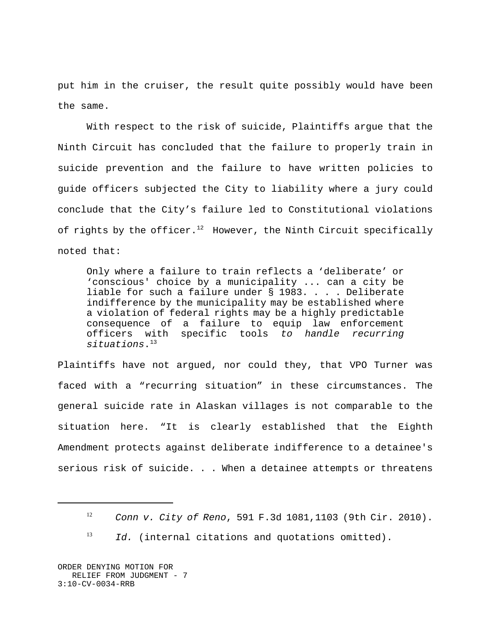put him in the cruiser, the result quite possibly would have been the same.

With respect to the risk of suicide, Plaintiffs argue that the Ninth Circuit has concluded that the failure to properly train in suicide prevention and the failure to have written policies to guide officers subjected the City to liability where a jury could conclude that the City's failure led to Constitutional violations of rights by the officer.<sup>12</sup> However, the Ninth Circuit specifically noted that:

Only where a failure to train reflects a 'deliberate' or 'conscious' choice by a municipality ... can a city be liable for such a failure under § 1983. . . . Deliberate indifference by the municipality may be established where a violation of federal rights may be a highly predictable consequence of a failure to equip law enforcement officers with specific tools *to handle recurring situations*.13

Plaintiffs have not argued, nor could they, that VPO Turner was faced with a "recurring situation" in these circumstances. The general suicide rate in Alaskan villages is not comparable to the situation here. "It is clearly established that the Eighth Amendment protects against deliberate indifference to a detainee's serious risk of suicide. . . When a detainee attempts or threatens

ORDER DENYING MOTION FOR RELIEF FROM JUDGMENT - 7 3:10-CV-0034-RRB

<sup>12</sup> *Conn v. City of Reno*, 591 F.3d 1081,1103 (9th Cir. 2010).

<sup>&</sup>lt;sup>13</sup> *Id.* (internal citations and quotations omitted).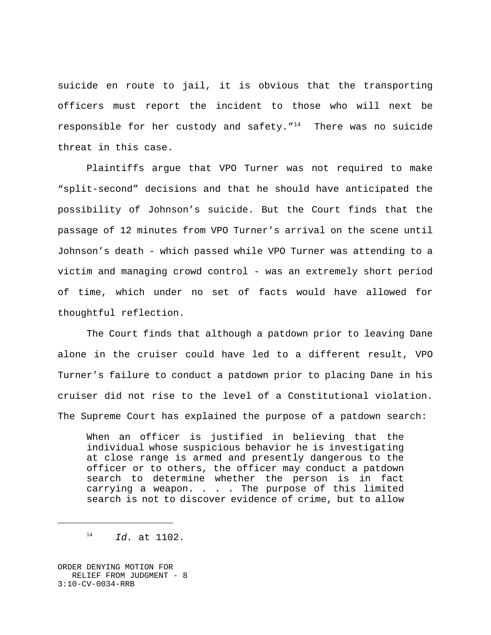suicide en route to jail, it is obvious that the transporting officers must report the incident to those who will next be responsible for her custody and safety. $14$  There was no suicide threat in this case.

Plaintiffs argue that VPO Turner was not required to make "split-second" decisions and that he should have anticipated the possibility of Johnson's suicide. But the Court finds that the passage of 12 minutes from VPO Turner's arrival on the scene until Johnson's death - which passed while VPO Turner was attending to a victim and managing crowd control - was an extremely short period of time, which under no set of facts would have allowed for thoughtful reflection.

The Court finds that although a patdown prior to leaving Dane alone in the cruiser could have led to a different result, VPO Turner's failure to conduct a patdown prior to placing Dane in his cruiser did not rise to the level of a Constitutional violation. The Supreme Court has explained the purpose of a patdown search:

When an officer is justified in believing that the individual whose suspicious behavior he is investigating at close range is armed and presently dangerous to the officer or to others, the officer may conduct a patdown search to determine whether the person is in fact carrying a weapon. . . . The purpose of this limited search is not to discover evidence of crime, but to allow

ORDER DENYING MOTION FOR RELIEF FROM JUDGMENT - 8 3:10-CV-0034-RRB

<sup>14</sup> *Id.* at 1102.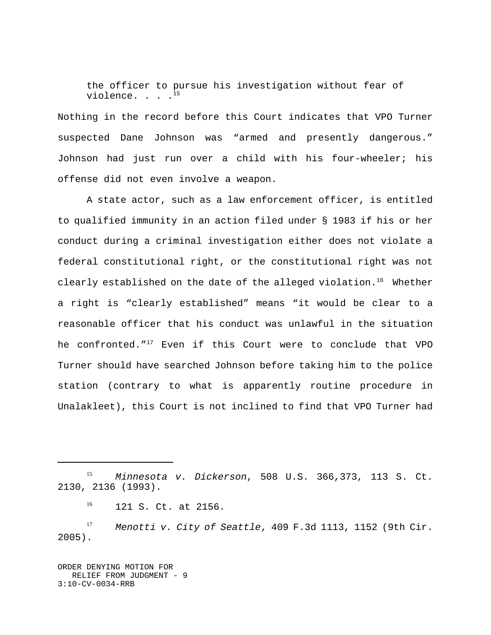the officer to pursue his investigation without fear of violence...<sup>15</sup>

Nothing in the record before this Court indicates that VPO Turner suspected Dane Johnson was "armed and presently dangerous." Johnson had just run over a child with his four-wheeler; his offense did not even involve a weapon.

A state actor, such as a law enforcement officer, is entitled to qualified immunity in an action filed under § 1983 if his or her conduct during a criminal investigation either does not violate a federal constitutional right, or the constitutional right was not clearly established on the date of the alleged violation.<sup>16</sup> Whether a right is "clearly established" means "it would be clear to a reasonable officer that his conduct was unlawful in the situation he confronted."<sup>17</sup> Even if this Court were to conclude that VPO Turner should have searched Johnson before taking him to the police station (contrary to what is apparently routine procedure in Unalakleet), this Court is not inclined to find that VPO Turner had

ORDER DENYING MOTION FOR RELIEF FROM JUDGMENT - 9 3:10-CV-0034-RRB

<sup>15</sup> *Minnesota v. Dickerson*, 508 U.S. 366,373, 113 S. Ct. 2130, 2136 (1993).

<sup>16</sup> 121 S. Ct. at 2156.

<sup>17</sup> *Menotti v. City of Seattle*, 409 F.3d 1113, 1152 (9th Cir. 2005).